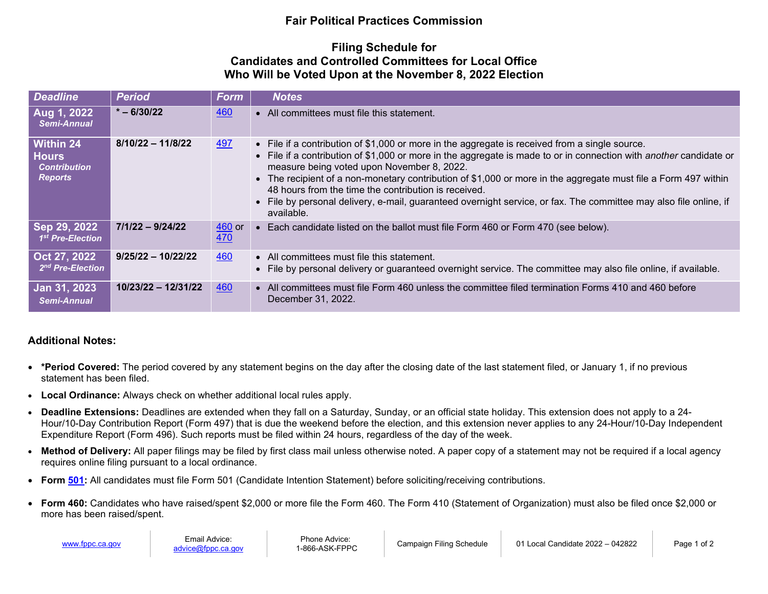## **Fair Political Practices Commission**

## **Filing Schedule for Candidates and Controlled Committees for Local Office Who Will be Voted Upon at the November 8, 2022 Election**

| <b>Deadline</b>                                                           | <b>Period</b>         | <b>Form</b>                      | <b>Notes</b>                                                                                                                                                                                                                                                                                                                                                                                                                                                                                                                                                                           |
|---------------------------------------------------------------------------|-----------------------|----------------------------------|----------------------------------------------------------------------------------------------------------------------------------------------------------------------------------------------------------------------------------------------------------------------------------------------------------------------------------------------------------------------------------------------------------------------------------------------------------------------------------------------------------------------------------------------------------------------------------------|
| Aug 1, 2022<br>Semi-Annual                                                | $* - 6/30/22$         | 460                              | • All committees must file this statement.                                                                                                                                                                                                                                                                                                                                                                                                                                                                                                                                             |
| <b>Within 24</b><br><b>Hours</b><br><b>Contribution</b><br><b>Reports</b> | $8/10/22 - 11/8/22$   | <u>497</u>                       | • File if a contribution of \$1,000 or more in the aggregate is received from a single source.<br>• File if a contribution of \$1,000 or more in the aggregate is made to or in connection with <i>another</i> candidate or<br>measure being voted upon November 8, 2022.<br>• The recipient of a non-monetary contribution of \$1,000 or more in the aggregate must file a Form 497 within<br>48 hours from the time the contribution is received.<br>• File by personal delivery, e-mail, guaranteed overnight service, or fax. The committee may also file online, if<br>available. |
| Sep 29, 2022<br>1 <sup>st</sup> Pre-Election                              | $7/1/22 - 9/24/22$    | $\frac{460}{ }$ or<br><u>470</u> | • Each candidate listed on the ballot must file Form 460 or Form 470 (see below).                                                                                                                                                                                                                                                                                                                                                                                                                                                                                                      |
| Oct 27, 2022<br>2 <sup>nd</sup> Pre-Election                              | $9/25/22 - 10/22/22$  | 460                              | • All committees must file this statement.<br>• File by personal delivery or guaranteed overnight service. The committee may also file online, if available.                                                                                                                                                                                                                                                                                                                                                                                                                           |
| Jan 31, 2023<br>Semi-Annual                                               | $10/23/22 - 12/31/22$ | 460                              | • All committees must file Form 460 unless the committee filed termination Forms 410 and 460 before<br>December 31, 2022.                                                                                                                                                                                                                                                                                                                                                                                                                                                              |

## **Additional Notes:**

- **\*Period Covered:** The period covered by any statement begins on the day after the closing date of the last statement filed, or January 1, if no previous statement has been filed.
- **Local Ordinance:** Always check on whether additional local rules apply.
- **Deadline Extensions:** Deadlines are extended when they fall on a Saturday, Sunday, or an official state holiday. This extension does not apply to a 24- Hour/10-Day Contribution Report (Form 497) that is due the weekend before the election, and this extension never applies to any 24-Hour/10-Day Independent Expenditure Report (Form 496). Such reports must be filed within 24 hours, regardless of the day of the week.
- Method of Delivery: All paper filings may be filed by first class mail unless otherwise noted. A paper copy of a statement may not be required if a local agency requires online filing pursuant to a local ordinance.
- **Form [501:](https://www.fppc.ca.gov/content/dam/fppc/NS-Documents/TAD/Campaign%20Forms/501.pdf)** All candidates must file Form 501 (Candidate Intention Statement) before soliciting/receiving contributions.
- **Form 460:** Candidates who have raised/spent \$2,000 or more file the Form 460. The Form 410 (Statement of Organization) must also be filed once \$2,000 or more has been raised/spent.